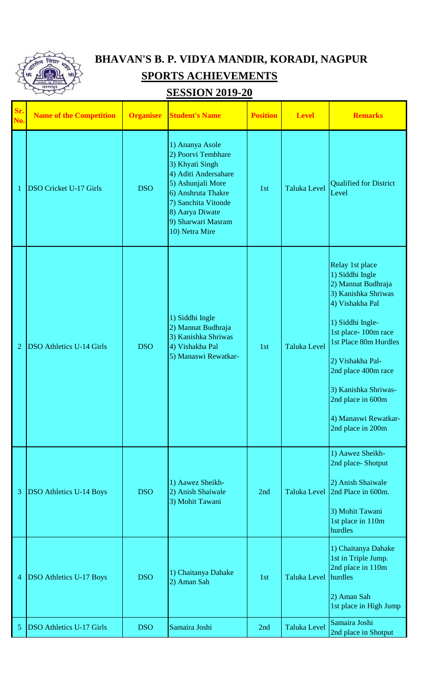

## **BHAVAN'S B. P. VIDYA MANDIR, KORADI, NAGPUR SPORTS ACHIEVEMENTS**

## **SESSION 2019-20**

| Sr.<br>No.     | <b>Name of the Competition</b>  | <b>Organiser</b> | <b>Student's Name</b>                                                                                                                                                                                         | <b>Position</b> | <b>Level</b>         | <b>Remarks</b>                                                                                                                                                                                                                                                                                              |
|----------------|---------------------------------|------------------|---------------------------------------------------------------------------------------------------------------------------------------------------------------------------------------------------------------|-----------------|----------------------|-------------------------------------------------------------------------------------------------------------------------------------------------------------------------------------------------------------------------------------------------------------------------------------------------------------|
| 1              | <b>DSO Cricket U-17 Girls</b>   | <b>DSO</b>       | 1) Ananya Asole<br>2) Poorvi Tembhare<br>3) Khyati Singh<br>4) Aditi Andersahare<br>5) Ashunjali More<br>6) Anshruta Thakre<br>7) Sanchita Vitonde<br>8) Aarya Diwate<br>9) Sharwari Masram<br>10) Netra Mire | 1st             | <b>Taluka Level</b>  | <b>Qualified for District</b><br>Level                                                                                                                                                                                                                                                                      |
| $\overline{2}$ | <b>DSO Athletics U-14 Girls</b> | <b>DSO</b>       | 1) Siddhi Ingle<br>2) Mannat Budhraja<br>3) Kanishka Shriwas<br>4) Vishakha Pal<br>5) Manaswi Rewatkar-                                                                                                       | 1st             | <b>Taluka Level</b>  | Relay 1st place<br>1) Siddhi Ingle<br>2) Mannat Budhraja<br>3) Kanishka Shriwas<br>4) Vishakha Pal<br>1) Siddhi Ingle-<br>1st place-100m race<br>1st Place 80m Hurdles<br>2) Vishakha Pal-<br>2nd place 400m race<br>3) Kanishka Shriwas-<br>2nd place in 600m<br>4) Manaswi Rewatkar-<br>2nd place in 200m |
| 3              | <b>DSO Athletics U-14 Boys</b>  | <b>DSO</b>       | 1) Aawez Sheikh-<br>2) Anish Shaiwale<br>3) Mohit Tawani                                                                                                                                                      | 2nd             |                      | 1) Aawez Sheikh-<br>2nd place-Shotput<br>2) Anish Shaiwale<br>Taluka Level 2nd Place in 600m.<br>3) Mohit Tawani<br>1st place in 110m<br>hurdles                                                                                                                                                            |
| 4              | <b>DSO Athletics U-17 Boys</b>  | <b>DSO</b>       | 1) Chaitanya Dahake<br>2) Aman Sah                                                                                                                                                                            | 1st             | Taluka Level hurdles | 1) Chaitanya Dahake<br>1st in Triple Jump.<br>2nd place in 110m<br>2) Aman Sah<br>1st place in High Jump                                                                                                                                                                                                    |
| 5              | <b>DSO Athletics U-17 Girls</b> | <b>DSO</b>       | Samaira Joshi                                                                                                                                                                                                 | 2nd             | <b>Taluka Level</b>  | Samaira Joshi<br>2nd place in Shotput                                                                                                                                                                                                                                                                       |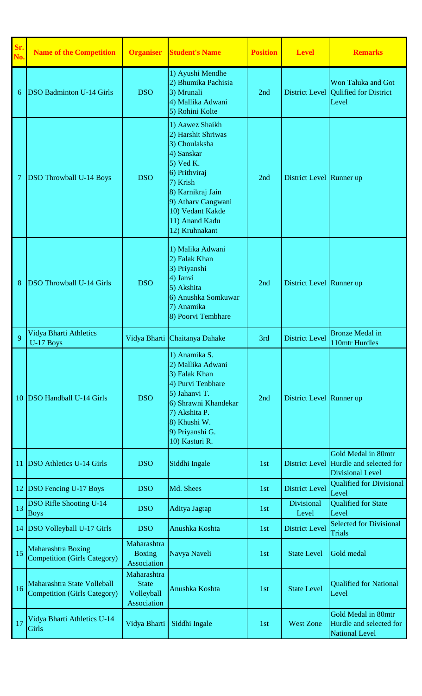| Sr.<br>No. | <b>Name of the Competition</b>                                     | <b>Organiser</b>                                         | <b>Student's Name</b>                                                                                                                                                                                               | <b>Position</b> | <b>Level</b>               | <b>Remarks</b>                                                                           |
|------------|--------------------------------------------------------------------|----------------------------------------------------------|---------------------------------------------------------------------------------------------------------------------------------------------------------------------------------------------------------------------|-----------------|----------------------------|------------------------------------------------------------------------------------------|
| 6          | <b>DSO Badminton U-14 Girls</b>                                    | <b>DSO</b>                                               | 1) Ayushi Mendhe<br>2) Bhumika Pachisia<br>3) Mrunali<br>4) Mallika Adwani<br>5) Rohini Kolte                                                                                                                       | 2nd             |                            | Won Taluka and Got<br>District Level Qulified for District<br>Level                      |
| 7          | <b>DSO Throwball U-14 Boys</b>                                     | <b>DSO</b>                                               | 1) Aawez Shaikh<br>2) Harshit Shriwas<br>3) Choulaksha<br>4) Sanskar<br>$5)$ Ved K.<br>6) Prithviraj<br>7) Krish<br>8) Karnikraj Jain<br>9) Atharv Gangwani<br>10) Vedant Kakde<br>11) Anand Kadu<br>12) Kruhnakant | 2nd             | District Level Runner up   |                                                                                          |
| 8          | <b>DSO Throwball U-14 Girls</b>                                    | <b>DSO</b>                                               | 1) Malika Adwani<br>2) Falak Khan<br>3) Priyanshi<br>4) Janvi<br>5) Akshita<br>6) Anushka Somkuwar<br>7) Anamika<br>8) Poorvi Tembhare                                                                              | 2nd             | District Level Runner up   |                                                                                          |
| 9          | Vidya Bharti Athletics<br>U-17 Boys                                |                                                          | Vidya Bharti Chaitanya Dahake                                                                                                                                                                                       | 3rd             | <b>District Level</b>      | <b>Bronze Medal in</b><br>110mtr Hurdles                                                 |
| 10         | <b>DSO Handball U-14 Girls</b>                                     | <b>DSO</b>                                               | 1) Anamika S.<br>2) Mallika Adwani<br>3) Falak Khan<br>4) Purvi Tenbhare<br>5) Jahanvi T.<br>6) Shrawni Khandekar<br>7) Akshita P.<br>8) Khushi W.<br>9) Priyanshi G.<br>10) Kasturi R.                             | 2nd             | District Level Runner up   |                                                                                          |
| 11         | <b>DSO Athletics U-14 Girls</b>                                    | <b>DSO</b>                                               | Siddhi Ingale                                                                                                                                                                                                       | 1st             |                            | Gold Medal in 80mtr<br>District Level Hurdle and selected for<br><b>Divisional Level</b> |
| 12         | <b>DSO Fencing U-17 Boys</b>                                       | <b>DSO</b>                                               | Md. Shees                                                                                                                                                                                                           | 1st             | <b>District Level</b>      | <b>Qualified for Divisional</b><br>Level                                                 |
| 13         | <b>DSO Rifle Shooting U-14</b><br><b>Boys</b>                      | <b>DSO</b>                                               | Aditya Jagtap                                                                                                                                                                                                       | 1st             | <b>Divisional</b><br>Level | <b>Qualified for State</b><br>Level                                                      |
| 14         | <b>DSO Volleyball U-17 Girls</b>                                   | <b>DSO</b>                                               | Anushka Koshta                                                                                                                                                                                                      | 1st             | <b>District Level</b>      | <b>Selected for Divisional</b><br><b>Trials</b>                                          |
| 15         | Maharashtra Boxing<br><b>Competition (Girls Category)</b>          | Maharashtra<br><b>Boxing</b><br>Association              | Navya Naveli                                                                                                                                                                                                        | 1st             | <b>State Level</b>         | Gold medal                                                                               |
| 16         | Maharashtra State Volleball<br><b>Competition (Girls Category)</b> | Maharashtra<br><b>State</b><br>Volleyball<br>Association | Anushka Koshta                                                                                                                                                                                                      | 1st             | <b>State Level</b>         | <b>Qualified for National</b><br>Level                                                   |
| 17         | Vidya Bharti Athletics U-14<br>Girls                               | Vidya Bharti                                             | Siddhi Ingale                                                                                                                                                                                                       | 1st             | <b>West Zone</b>           | Gold Medal in 80mtr<br>Hurdle and selected for<br><b>National Level</b>                  |